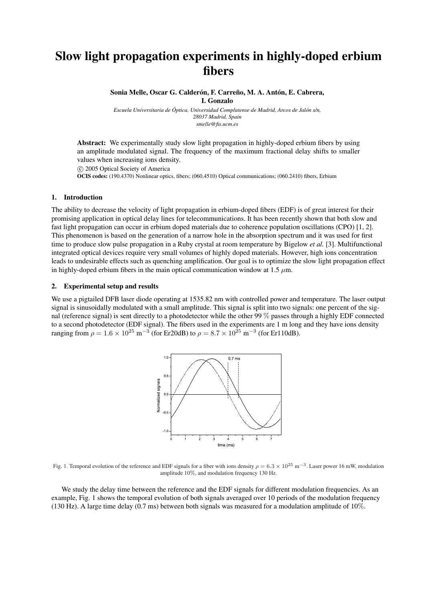## Slow light propagation experiments in highly-doped erbium fibers

Sonia Melle, Oscar G. Calderón, F. Carreño, M. A. Antón, E. Cabrera, I. Gonzalo

*Escuela Universitaria de Óptica, Universidad Complutense de Madrid, Arcos de Jalón s/n, 28037 Madrid, Spain smelle@fis.ucm.es*

Abstract: We experimentally study slow light propagation in highly-doped erbium fibers by using an amplitude modulated signal. The frequency of the maximum fractional delay shifts to smaller values when increasing ions density.

°c 2005 Optical Society of America

OCIS codes: (190.4370) Nonlinear optics, fibers; (060.4510) Optical communications; (060.2410) fibers, Erbium

## 1. Introduction

The ability to decrease the velocity of light propagation in erbium-doped fibers (EDF) is of great interest for their promising application in optical delay lines for telecommunications. It has been recently shown that both slow and fast light propagation can occur in erbium doped materials due to coherence population oscillations (CPO) [1, 2]. This phenomenon is based on the generation of a narrow hole in the absorption spectrum and it was used for first time to produce slow pulse propagation in a Ruby crystal at room temperature by Bigelow *et al.* [3]. Multifunctional integrated optical devices require very small volumes of highly doped materials. However, high ions concentration leads to undesirable effects such as quenching amplification. Our goal is to optimize the slow light propagation effect in highly-doped erbium fibers in the main optical communication window at 1.5  $\mu$ m.

## 2. Experimental setup and results

We use a pigtailed DFB laser diode operating at 1535.82 nm with controlled power and temperature. The laser output signal is sinusoidally modulated with a small amplitude. This signal is split into two signals: one percent of the signal (reference signal) is sent directly to a photodetector while the other 99 % passes through a highly EDF connected to a second photodetector (EDF signal). The fibers used in the experiments are 1 m long and they have ions density ranging from  $\rho = 1.6 \times 10^{25} \text{ m}^{-3}$  (for Er20dB) to  $\rho = 8.7 \times 10^{25} \text{ m}^{-3}$  (for Er110dB).



Fig. 1. Temporal evolution of the reference and EDF signals for a fiber with ions density  $\rho = 6.3 \times 10^{25} \text{ m}^{-3}$ . Laser power 16 mW, modulation amplitude 10%, and modulation frequency 130 Hz.

We study the delay time between the reference and the EDF signals for different modulation frequencies. As an example, Fig. 1 shows the temporal evolution of both signals averaged over 10 periods of the modulation frequency (130 Hz). A large time delay (0.7 ms) between both signals was measured for a modulation amplitude of 10%.